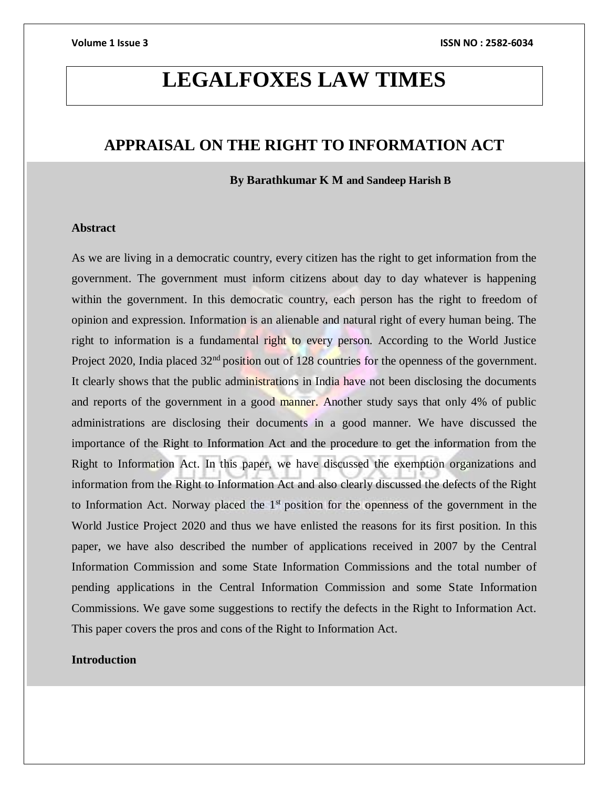# **LEGALFOXES LAW TIMES**

# **APPRAISAL ON THE RIGHT TO INFORMATION ACT**

 **By Barathkumar K M and Sandeep Harish B**

### **Abstract**

As we are living in a democratic country, every citizen has the right to get information from the government. The government must inform citizens about day to day whatever is happening within the government. In this democratic country, each person has the right to freedom of opinion and expression. Information is an alienable and natural right of every human being. The right to information is a fundamental right to every person. According to the World Justice Project 2020, India placed 32<sup>nd</sup> position out of 128 countries for the openness of the government. It clearly shows that the public administrations in India have not been disclosing the documents and reports of the government in a good manner. Another study says that only 4% of public administrations are disclosing their documents in a good manner. We have discussed the importance of the Right to Information Act and the procedure to get the information from the Right to Information Act. In this paper, we have discussed the exemption organizations and information from the Right to Information Act and also clearly discussed the defects of the Right to Information Act. Norway placed the  $1<sup>st</sup>$  position for the openness of the government in the World Justice Project 2020 and thus we have enlisted the reasons for its first position. In this paper, we have also described the number of applications received in 2007 by the Central Information Commission and some State Information Commissions and the total number of pending applications in the Central Information Commission and some State Information Commissions. We gave some suggestions to rectify the defects in the Right to Information Act. This paper covers the pros and cons of the Right to Information Act.

### **Introduction**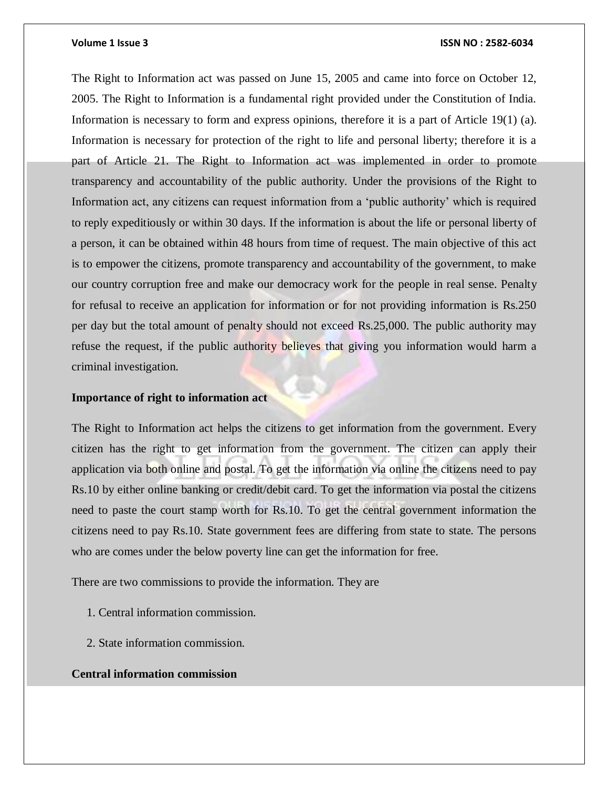The Right to Information act was passed on June 15, 2005 and came into force on October 12, 2005. The Right to Information is a fundamental right provided under the Constitution of India. Information is necessary to form and express opinions, therefore it is a part of Article 19(1) (a). Information is necessary for protection of the right to life and personal liberty; therefore it is a part of Article 21. The Right to Information act was implemented in order to promote transparency and accountability of the public authority. Under the provisions of the Right to Information act, any citizens can request information from a 'public authority' which is required to reply expeditiously or within 30 days. If the information is about the life or personal liberty of a person, it can be obtained within 48 hours from time of request. The main objective of this act is to empower the citizens, promote transparency and accountability of the government, to make our country corruption free and make our democracy work for the people in real sense. Penalty for refusal to receive an application for information or for not providing information is Rs.250 per day but the total amount of penalty should not exceed Rs.25,000. The public authority may refuse the request, if the public authority believes that giving you information would harm a criminal investigation.

### **Importance of right to information act**

The Right to Information act helps the citizens to get information from the government. Every citizen has the right to get information from the government. The citizen can apply their application via both online and postal. To get the information via online the citizens need to pay Rs.10 by either online banking or credit/debit card. To get the information via postal the citizens need to paste the court stamp worth for Rs.10. To get the central government information the citizens need to pay Rs.10. State government fees are differing from state to state. The persons who are comes under the below poverty line can get the information for free.

There are two commissions to provide the information. They are

- 1. Central information commission.
- 2. State information commission.

# **Central information commission**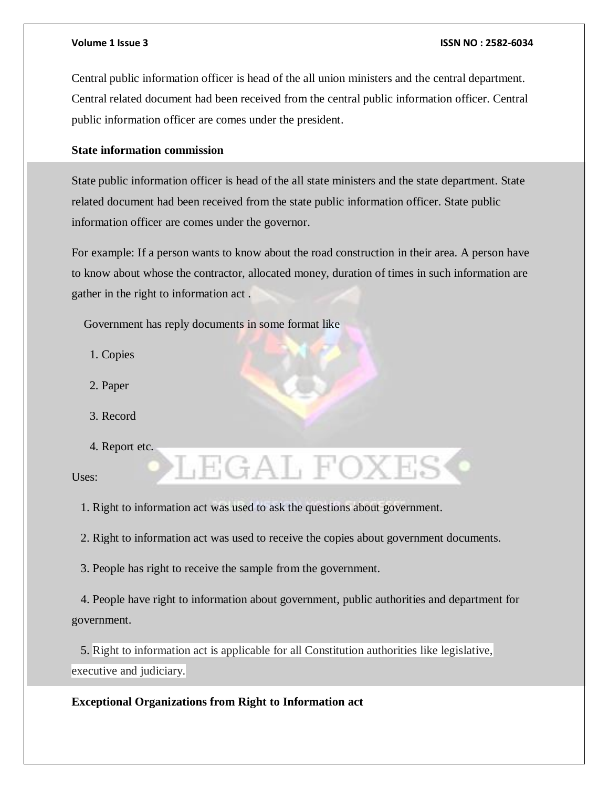Central public information officer is head of the all union ministers and the central department. Central related document had been received from the central public information officer. Central public information officer are comes under the president.

# **State information commission**

State public information officer is head of the all state ministers and the state department. State related document had been received from the state public information officer. State public information officer are comes under the governor.

For example: If a person wants to know about the road construction in their area. A person have to know about whose the contractor, allocated money, duration of times in such information are gather in the right to information act .

Government has reply documents in some format like

- 1. Copies
- 2. Paper
- 3. Record
- 4. Report etc.

Uses:

1. Right to information act was used to ask the questions about government.

2. Right to information act was used to receive the copies about government documents.

LEGAL FOXES

3. People has right to receive the sample from the government.

 4. People have right to information about government, public authorities and department for government.

 5. Right to information act is applicable for all Constitution authorities like legislative, executive and judiciary.

**Exceptional Organizations from Right to Information act**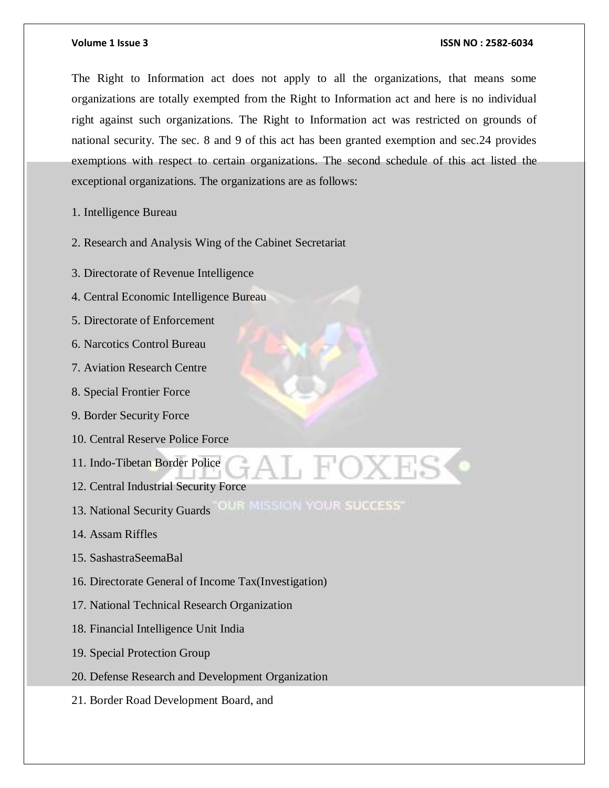The Right to Information act does not apply to all the organizations, that means some organizations are totally exempted from the Right to Information act and here is no individual right against such organizations. The Right to Information act was restricted on grounds of national security. The sec. 8 and 9 of this act has been granted exemption and sec.24 provides exemptions with respect to certain organizations. The second schedule of this act listed the exceptional organizations. The organizations are as follows:

- 1. Intelligence Bureau
- 2. Research and Analysis Wing of the Cabinet Secretariat
- 3. Directorate of Revenue Intelligence
- 4. Central Economic Intelligence Bureau
- 5. Directorate of Enforcement
- 6. Narcotics Control Bureau
- 7. Aviation Research Centre
- 8. Special Frontier Force
- 9. Border Security Force
- 10. Central Reserve Police Force
- 11. Indo-Tibetan Border Police
- 12. Central Industrial Security Force
- 13. National Security Guards OUR MISSION YOUR SUCCESS
- 14. Assam Riffles
- 15. SashastraSeemaBal
- 16. Directorate General of Income Tax(Investigation)
- 17. National Technical Research Organization
- 18. Financial Intelligence Unit India
- 19. Special Protection Group
- 20. Defense Research and Development Organization
- 21. Border Road Development Board, and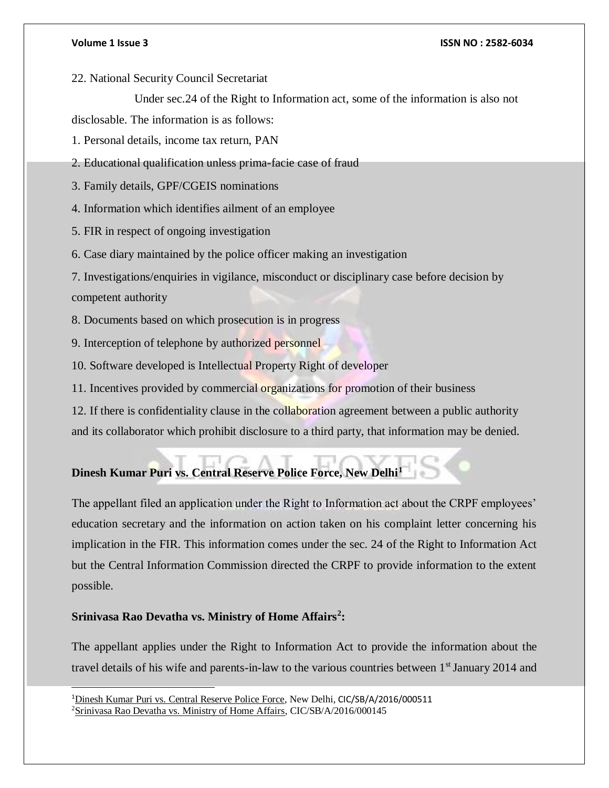22. National Security Council Secretariat

Under sec.24 of the Right to Information act, some of the information is also not

disclosable. The information is as follows:

1. Personal details, income tax return, PAN

2. Educational qualification unless prima-facie case of fraud

3. Family details, GPF/CGEIS nominations

4. Information which identifies ailment of an employee

5. FIR in respect of ongoing investigation

6. Case diary maintained by the police officer making an investigation

7. Investigations/enquiries in vigilance, misconduct or disciplinary case before decision by competent authority

8. Documents based on which prosecution is in progress

9. Interception of telephone by authorized personnel

10. Software developed is Intellectual Property Right of developer

11. Incentives provided by commercial organizations for promotion of their business

12. If there is confidentiality clause in the collaboration agreement between a public authority

and its collaborator which prohibit disclosure to a third party, that information may be denied.

# **Dinesh Kumar Puri vs. Central Reserve Police Force, New Delhi<sup>1</sup>**

The appellant filed an application under the Right to Information act about the CRPF employees' education secretary and the information on action taken on his complaint letter concerning his implication in the FIR. This information comes under the sec. 24 of the Right to Information Act but the Central Information Commission directed the CRPF to provide information to the extent possible.

# **Srinivasa Rao Devatha vs. Ministry of Home Affairs<sup>2</sup> :**

l

The appellant applies under the Right to Information Act to provide the information about the travel details of his wife and parents-in-law to the various countries between 1<sup>st</sup> January 2014 and

<sup>1</sup>Dinesh Kumar Puri vs. Central Reserve Police Force, New Delhi, CIC/SB/A/2016/000511 <sup>2</sup>Srinivasa Rao Devatha vs. Ministry of Home Affairs, CIC/SB/A/2016/000145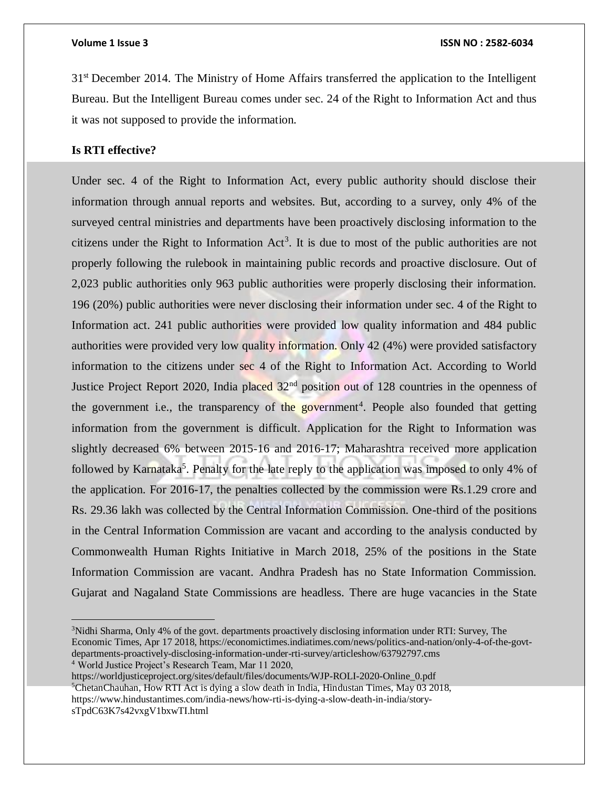31<sup>st</sup> December 2014. The Ministry of Home Affairs transferred the application to the Intelligent Bureau. But the Intelligent Bureau comes under sec. 24 of the Right to Information Act and thus it was not supposed to provide the information.

# **Is RTI effective?**

Under sec. 4 of the Right to Information Act, every public authority should disclose their information through annual reports and websites. But, according to a survey, only 4% of the surveyed central ministries and departments have been proactively disclosing information to the citizens under the Right to Information  $Act<sup>3</sup>$ . It is due to most of the public authorities are not properly following the rulebook in maintaining public records and proactive disclosure. Out of 2,023 public authorities only 963 public authorities were properly disclosing their information. 196 (20%) public authorities were never disclosing their information under sec. 4 of the Right to Information act. 241 public authorities were provided low quality information and 484 public authorities were provided very low quality information. Only 42 (4%) were provided satisfactory information to the citizens under sec 4 of the Right to Information Act. According to World Justice Project Report 2020, India placed  $32<sup>nd</sup>$  position out of 128 countries in the openness of the government i.e., the transparency of the government<sup>4</sup>. People also founded that getting information from the government is difficult. Application for the Right to Information was slightly decreased 6% between 2015-16 and 2016-17; Maharashtra received more application followed by Karnataka<sup>5</sup>. Penalty for the late reply to the application was imposed to only 4% of the application. For 2016-17, the penalties collected by the commission were Rs.1.29 crore and Rs. 29.36 lakh was collected by the Central Information Commission. One-third of the positions in the Central Information Commission are vacant and according to the analysis conducted by Commonwealth Human Rights Initiative in March 2018, 25% of the positions in the State Information Commission are vacant. Andhra Pradesh has no State Information Commission. Gujarat and Nagaland State Commissions are headless. There are huge vacancies in the State

<sup>4</sup> World Justice Project's Research Team, Mar 11 2020,

 $\overline{a}$ 

https://worldjusticeproject.org/sites/default/files/documents/WJP-ROLI-2020-Online\_0.pdf <sup>5</sup>ChetanChauhan, How RTI Act is dying a slow death in India, Hindustan Times, May 03 2018, https://www.hindustantimes.com/india-news/how-rti-is-dying-a-slow-death-in-india/storysTpdC63K7s42vxgV1bxwTI.html

<sup>&</sup>lt;sup>3</sup>Nidhi Sharma, Only 4% of the govt. departments proactively disclosing information under RTI: Survey, The Economic Times, Apr 17 2018, https://economictimes.indiatimes.com/news/politics-and-nation/only-4-of-the-govtdepartments-proactively-disclosing-information-under-rti-survey/articleshow/63792797.cms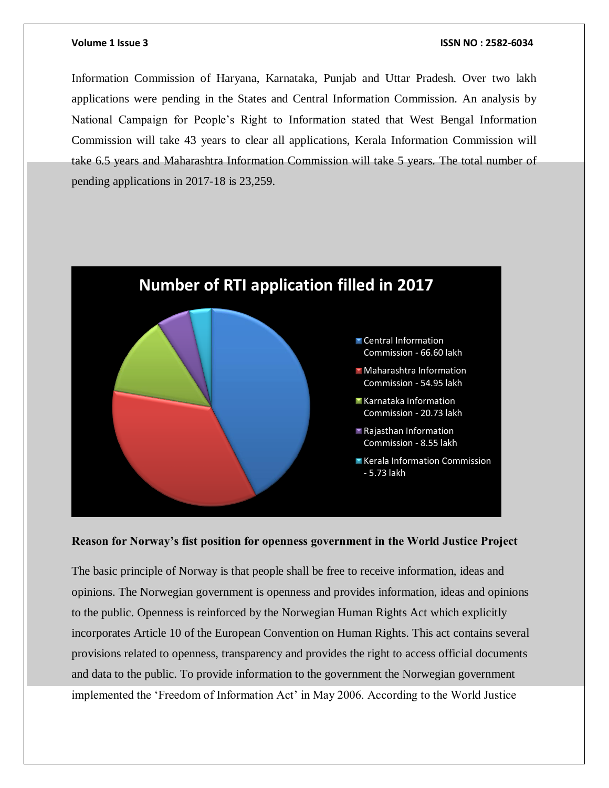Information Commission of Haryana, Karnataka, Punjab and Uttar Pradesh. Over two lakh applications were pending in the States and Central Information Commission. An analysis by National Campaign for People's Right to Information stated that West Bengal Information Commission will take 43 years to clear all applications, Kerala Information Commission will take 6.5 years and Maharashtra Information Commission will take 5 years. The total number of pending applications in 2017-18 is 23,259.



### **Reason for Norway's fist position for openness government in the World Justice Project**

The basic principle of Norway is that people shall be free to receive information, ideas and opinions. The Norwegian government is openness and provides information, ideas and opinions to the public. Openness is reinforced by the Norwegian Human Rights Act which explicitly incorporates Article 10 of the European Convention on Human Rights. This act contains several provisions related to openness, transparency and provides the right to access official documents and data to the public. To provide information to the government the Norwegian government implemented the 'Freedom of Information Act' in May 2006. According to the World Justice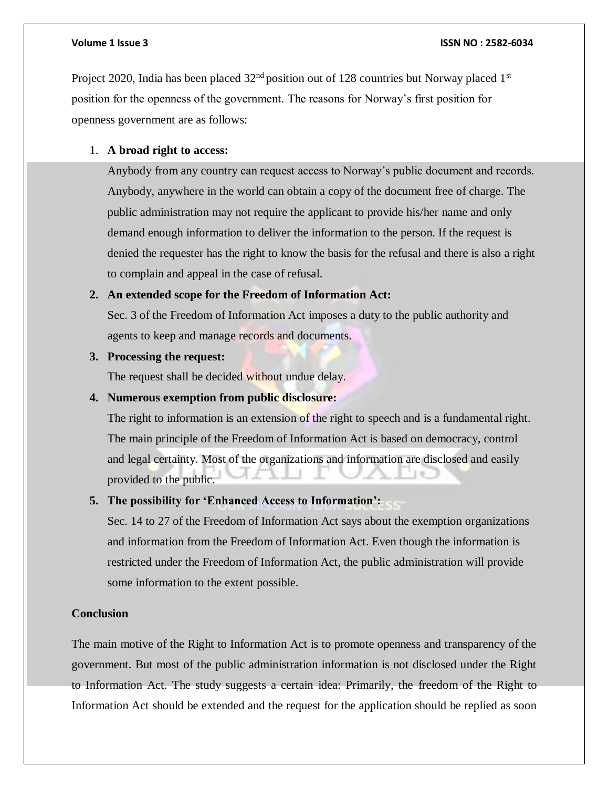Project 2020, India has been placed  $32<sup>nd</sup>$  position out of 128 countries but Norway placed 1<sup>st</sup> position for the openness of the government. The reasons for Norway's first position for openness government are as follows:

# 1. **A broad right to access:**

Anybody from any country can request access to Norway's public document and records. Anybody, anywhere in the world can obtain a copy of the document free of charge. The public administration may not require the applicant to provide his/her name and only demand enough information to deliver the information to the person. If the request is denied the requester has the right to know the basis for the refusal and there is also a right to complain and appeal in the case of refusal.

### **2. An extended scope for the Freedom of Information Act:**

Sec. 3 of the Freedom of Information Act imposes a duty to the public authority and agents to keep and manage records and documents.

### **3. Processing the request:**

The request shall be decided without undue delay.

# **4. Numerous exemption from public disclosure:**

The right to information is an extension of the right to speech and is a fundamental right. The main principle of the Freedom of Information Act is based on democracy, control and legal certainty. Most of the organizations and information are disclosed and easily provided to the public.

# **5. The possibility for 'Enhanced Access to Information':**

Sec. 14 to 27 of the Freedom of Information Act says about the exemption organizations and information from the Freedom of Information Act. Even though the information is restricted under the Freedom of Information Act, the public administration will provide some information to the extent possible.

# **Conclusion**

The main motive of the Right to Information Act is to promote openness and transparency of the government. But most of the public administration information is not disclosed under the Right to Information Act. The study suggests a certain idea: Primarily, the freedom of the Right to Information Act should be extended and the request for the application should be replied as soon